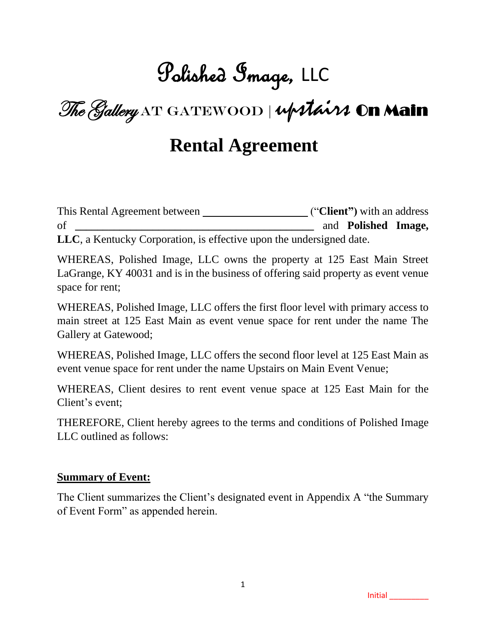### Polished Image, LLC

The Gallery AT GATEWOOD | upstairs On Main

### **Rental Agreement**

This Rental Agreement between \_\_\_ ("**Client")** with an address of **\_\_\_\_\_\_\_\_\_\_\_\_\_\_\_\_\_\_\_\_\_\_\_\_\_\_\_\_\_\_\_\_\_\_\_\_\_\_\_\_\_\_\_** and **Polished Image, LLC**, a Kentucky Corporation, is effective upon the undersigned date.

WHEREAS, Polished Image, LLC owns the property at 125 East Main Street LaGrange, KY 40031 and is in the business of offering said property as event venue space for rent;

WHEREAS, Polished Image, LLC offers the first floor level with primary access to main street at 125 East Main as event venue space for rent under the name The Gallery at Gatewood;

WHEREAS, Polished Image, LLC offers the second floor level at 125 East Main as event venue space for rent under the name Upstairs on Main Event Venue;

WHEREAS, Client desires to rent event venue space at 125 East Main for the Client's event;

THEREFORE, Client hereby agrees to the terms and conditions of Polished Image LLC outlined as follows:

#### **Summary of Event:**

The Client summarizes the Client's designated event in Appendix A "the Summary of Event Form" as appended herein.

Initial \_\_\_\_\_\_\_\_\_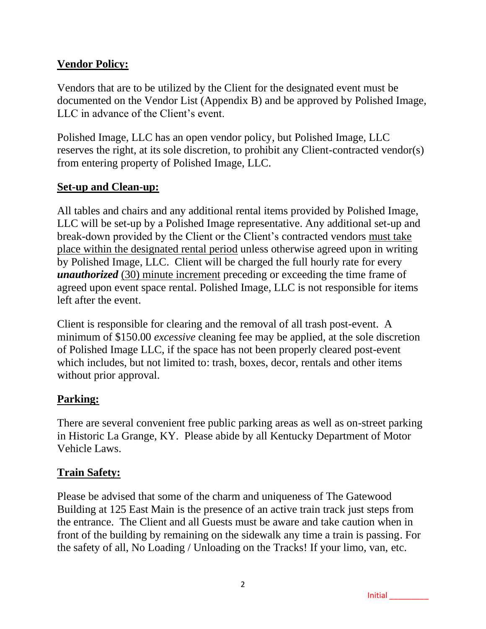#### **Vendor Policy:**

Vendors that are to be utilized by the Client for the designated event must be documented on the Vendor List (Appendix B) and be approved by Polished Image, LLC in advance of the Client's event.

Polished Image, LLC has an open vendor policy, but Polished Image, LLC reserves the right, at its sole discretion, to prohibit any Client-contracted vendor(s) from entering property of Polished Image, LLC.

#### **Set-up and Clean-up:**

All tables and chairs and any additional rental items provided by Polished Image, LLC will be set-up by a Polished Image representative. Any additional set-up and break-down provided by the Client or the Client's contracted vendors must take place within the designated rental period unless otherwise agreed upon in writing by Polished Image, LLC. Client will be charged the full hourly rate for every *unauthorized* (30) minute increment preceding or exceeding the time frame of agreed upon event space rental. Polished Image, LLC is not responsible for items left after the event.

Client is responsible for clearing and the removal of all trash post-event. A minimum of \$150.00 *excessive* cleaning fee may be applied, at the sole discretion of Polished Image LLC, if the space has not been properly cleared post-event which includes, but not limited to: trash, boxes, decor, rentals and other items without prior approval.

#### **Parking:**

There are several convenient free public parking areas as well as on-street parking in Historic La Grange, KY. Please abide by all Kentucky Department of Motor Vehicle Laws.

#### **Train Safety:**

Please be advised that some of the charm and uniqueness of The Gatewood Building at 125 East Main is the presence of an active train track just steps from the entrance. The Client and all Guests must be aware and take caution when in front of the building by remaining on the sidewalk any time a train is passing. For the safety of all, No Loading / Unloading on the Tracks! If your limo, van, etc.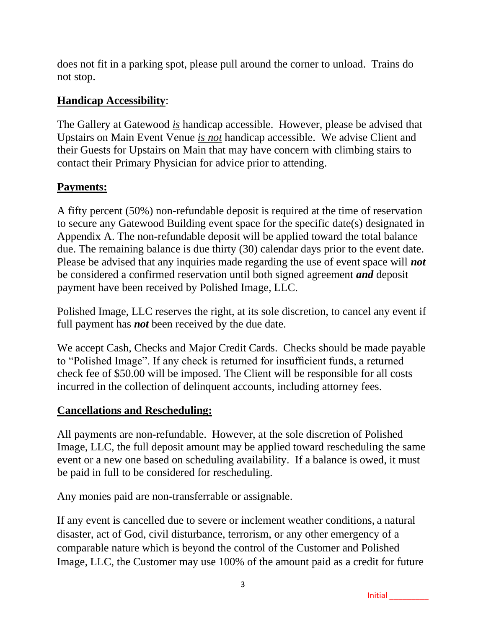does not fit in a parking spot, please pull around the corner to unload. Trains do not stop.

#### **Handicap Accessibility**:

The Gallery at Gatewood *is* handicap accessible. However, please be advised that Upstairs on Main Event Venue *is not* handicap accessible. We advise Client and their Guests for Upstairs on Main that may have concern with climbing stairs to contact their Primary Physician for advice prior to attending.

#### **Payments:**

A fifty percent (50%) non-refundable deposit is required at the time of reservation to secure any Gatewood Building event space for the specific date(s) designated in Appendix A. The non-refundable deposit will be applied toward the total balance due. The remaining balance is due thirty (30) calendar days prior to the event date. Please be advised that any inquiries made regarding the use of event space will *not* be considered a confirmed reservation until both signed agreement *and* deposit payment have been received by Polished Image, LLC.

Polished Image, LLC reserves the right, at its sole discretion, to cancel any event if full payment has *not* been received by the due date.

We accept Cash, Checks and Major Credit Cards. Checks should be made payable to "Polished Image". If any check is returned for insufficient funds, a returned check fee of \$50.00 will be imposed. The Client will be responsible for all costs incurred in the collection of delinquent accounts, including attorney fees.

#### **Cancellations and Rescheduling:**

All payments are non-refundable. However, at the sole discretion of Polished Image, LLC, the full deposit amount may be applied toward rescheduling the same event or a new one based on scheduling availability. If a balance is owed, it must be paid in full to be considered for rescheduling.

Any monies paid are non-transferrable or assignable.

If any event is cancelled due to severe or inclement weather conditions, a natural disaster, act of God, civil disturbance, terrorism, or any other emergency of a comparable nature which is beyond the control of the Customer and Polished Image, LLC, the Customer may use 100% of the amount paid as a credit for future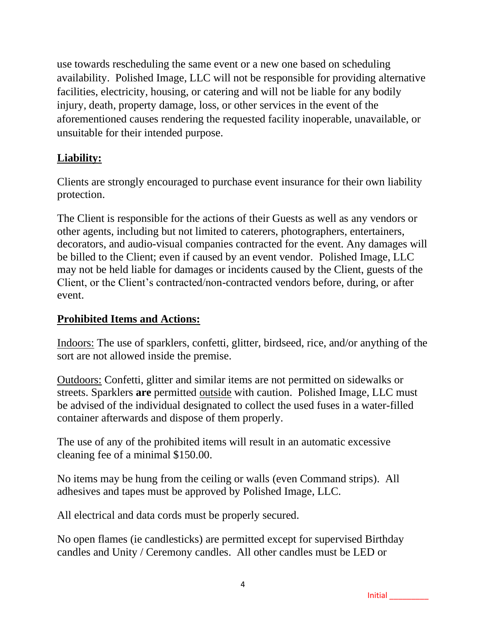use towards rescheduling the same event or a new one based on scheduling availability. Polished Image, LLC will not be responsible for providing alternative facilities, electricity, housing, or catering and will not be liable for any bodily injury, death, property damage, loss, or other services in the event of the aforementioned causes rendering the requested facility inoperable, unavailable, or unsuitable for their intended purpose.

#### **Liability:**

Clients are strongly encouraged to purchase event insurance for their own liability protection.

The Client is responsible for the actions of their Guests as well as any vendors or other agents, including but not limited to caterers, photographers, entertainers, decorators, and audio-visual companies contracted for the event. Any damages will be billed to the Client; even if caused by an event vendor. Polished Image, LLC may not be held liable for damages or incidents caused by the Client, guests of the Client, or the Client's contracted/non-contracted vendors before, during, or after event.

#### **Prohibited Items and Actions:**

Indoors: The use of sparklers, confetti, glitter, birdseed, rice, and/or anything of the sort are not allowed inside the premise.

Outdoors: Confetti, glitter and similar items are not permitted on sidewalks or streets. Sparklers **are** permitted outside with caution. Polished Image, LLC must be advised of the individual designated to collect the used fuses in a water-filled container afterwards and dispose of them properly.

The use of any of the prohibited items will result in an automatic excessive cleaning fee of a minimal \$150.00.

No items may be hung from the ceiling or walls (even Command strips). All adhesives and tapes must be approved by Polished Image, LLC.

All electrical and data cords must be properly secured.

No open flames (ie candlesticks) are permitted except for supervised Birthday candles and Unity / Ceremony candles. All other candles must be LED or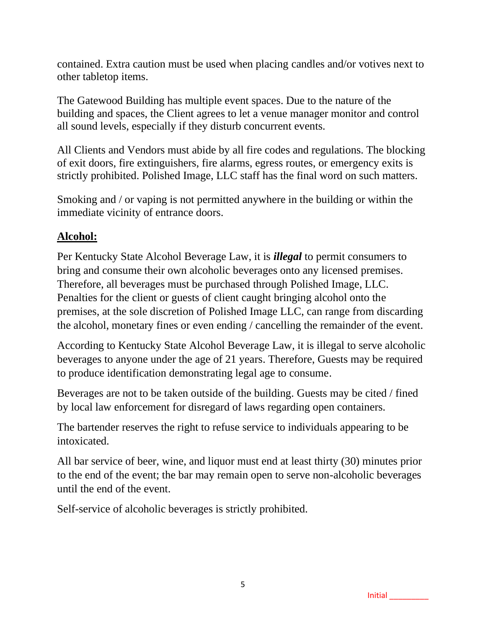contained. Extra caution must be used when placing candles and/or votives next to other tabletop items.

The Gatewood Building has multiple event spaces. Due to the nature of the building and spaces, the Client agrees to let a venue manager monitor and control all sound levels, especially if they disturb concurrent events.

All Clients and Vendors must abide by all fire codes and regulations. The blocking of exit doors, fire extinguishers, fire alarms, egress routes, or emergency exits is strictly prohibited. Polished Image, LLC staff has the final word on such matters.

Smoking and / or vaping is not permitted anywhere in the building or within the immediate vicinity of entrance doors.

#### **Alcohol:**

Per Kentucky State Alcohol Beverage Law, it is *illegal* to permit consumers to bring and consume their own alcoholic beverages onto any licensed premises. Therefore, all beverages must be purchased through Polished Image, LLC. Penalties for the client or guests of client caught bringing alcohol onto the premises, at the sole discretion of Polished Image LLC, can range from discarding the alcohol, monetary fines or even ending / cancelling the remainder of the event.

According to Kentucky State Alcohol Beverage Law, it is illegal to serve alcoholic beverages to anyone under the age of 21 years. Therefore, Guests may be required to produce identification demonstrating legal age to consume.

Beverages are not to be taken outside of the building. Guests may be cited / fined by local law enforcement for disregard of laws regarding open containers.

The bartender reserves the right to refuse service to individuals appearing to be intoxicated.

All bar service of beer, wine, and liquor must end at least thirty (30) minutes prior to the end of the event; the bar may remain open to serve non-alcoholic beverages until the end of the event.

Self-service of alcoholic beverages is strictly prohibited.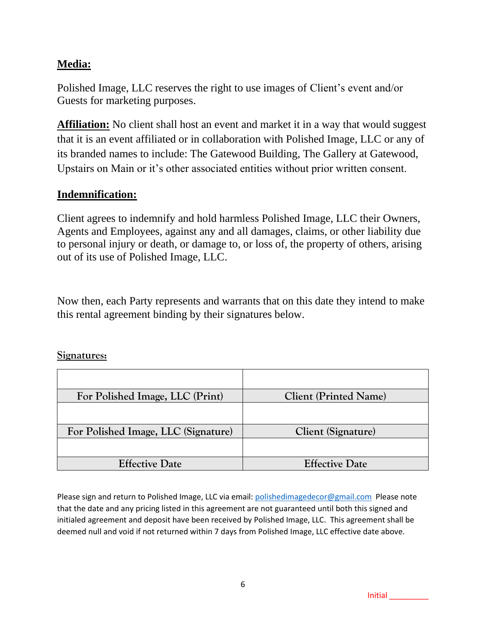#### **Media:**

Polished Image, LLC reserves the right to use images of Client's event and/or Guests for marketing purposes.

**Affiliation:** No client shall host an event and market it in a way that would suggest that it is an event affiliated or in collaboration with Polished Image, LLC or any of its branded names to include: The Gatewood Building, The Gallery at Gatewood, Upstairs on Main or it's other associated entities without prior written consent.

#### **Indemnification:**

Client agrees to indemnify and hold harmless Polished Image, LLC their Owners, Agents and Employees, against any and all damages, claims, or other liability due to personal injury or death, or damage to, or loss of, the property of others, arising out of its use of Polished Image, LLC.

Now then, each Party represents and warrants that on this date they intend to make this rental agreement binding by their signatures below.

#### **Signatures:**

| For Polished Image, LLC (Print)     | <b>Client (Printed Name)</b> |  |
|-------------------------------------|------------------------------|--|
|                                     |                              |  |
| For Polished Image, LLC (Signature) | Client (Signature)           |  |
|                                     |                              |  |
| <b>Effective Date</b>               | <b>Effective Date</b>        |  |

Please sign and return to Polished Image, LLC via email[: polishedimagedecor@gmail.com](about:blank) Please note that the date and any pricing listed in this agreement are not guaranteed until both this signed and initialed agreement and deposit have been received by Polished Image, LLC. This agreement shall be deemed null and void if not returned within 7 days from Polished Image, LLC effective date above.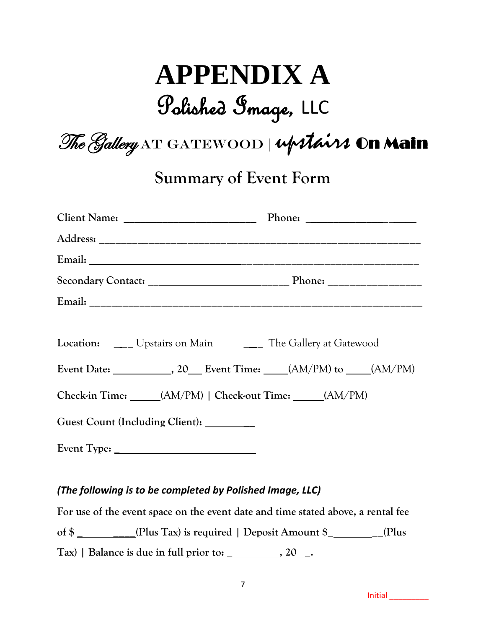# **APPENDIX A**

### Polished Image, LLC

The Gallery AT GATEWOOD | upstairs On Main

**Summary of Event Form**

| Location: ____ Upstairs on Main ______ The Gallery at Gatewood             |  |  |  |  |
|----------------------------------------------------------------------------|--|--|--|--|
| Event Date: ______________, 20____ Event Time: _____(AM/PM) to ____(AM/PM) |  |  |  |  |
| Check-in Time: _____(AM/PM)   Check-out Time: _____(AM/PM)                 |  |  |  |  |
| Guest Count (Including Client): ________                                   |  |  |  |  |
|                                                                            |  |  |  |  |

#### *(The following is to be completed by Polished Image, LLC)*

**For use of the event space on the event date and time stated above, a rental fee of \$ \_ \_\_\_\_(Plus Tax) is required | Deposit Amount \$\_ \_\_(Plus Tax) | Balance is due in full prior to: \_ , 20 \_.**